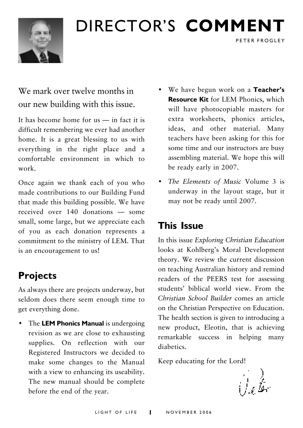

## DIRECTOR'S **COMMENT**

## We mark over twelve months in our new building with this issue.

It has become home for  $us = in$  fact it is difficult remembering we ever had another home. It is a great blessing to us with everything in the right place and a comfortable environment in which to work.

Once again we thank each of you who made contributions to our Building Fund that made this building possible. We have received over  $140$  donations  $-$  some small, some large, but we appreciate each of you as each donation represents a commitment to the ministry of LEM. That is an encouragement to us!

## **Projects**

As always there are projects underway, but seldom does there seem enough time to get everything done.

The LEM Phonics Manual is undergoing revision as we are close to exhausting supplies. On reflection with our Registered Instructors we decided to make some changes to the Manual with a view to enhancing its useability. The new manual should be complete before the end of the year.

ï We have begun work on a **Teacherís Resource Kit** for LEM Phonics, which will have photocopiable masters for extra worksheets, phonics articles, ideas, and other material. Many teachers have been asking for this for some time and our instructors are busy assembling material. We hope this will be ready early in 2007.

PETER FROGLEY

• *The Elements of Music Volume 3 is* underway in the layout stage, but it may not be ready until 2007.

## **This Issue**

In this issue *Exploring Christian Education* looks at Kohlberg's Moral Development theory. We review the current discussion on teaching Australian history and remind readers of the PEERS test for assessing students' biblical world view. From the *Christian School Builder* comes an article on the Christian Perspective on Education. The health section is given to introducing a new product, Eleotin, that is achieving remarkable success in helping many diabetics.

Keep educating for the Lord!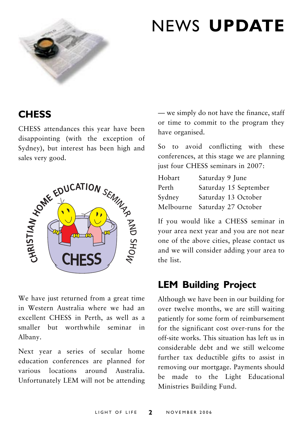

## NEWS **UPDATE**

## **CHESS**

CHESS attendances this year have been disappointing (with the exception of Sydney), but interest has been high and



We have just returned from a great time in Western Australia where we had an excellent CHESS in Perth, as well as a smaller but worthwhile seminar in Albany.

Next year a series of secular home education conferences are planned for various locations around Australia. Unfortunately LEM will not be attending — we simply do not have the finance, staff or time to commit to the program they have organised.

So to avoid conflicting with these conferences, at this stage we are planning just four CHESS seminars in 2007:

| Hobart    | Saturday 9 June       |  |
|-----------|-----------------------|--|
| Perth     | Saturday 15 September |  |
| Sydney    | Saturday 13 October   |  |
| Melbourne | Saturday 27 October   |  |

If you would like a CHESS seminar in your area next year and you are not near one of the above cities, please contact us and we will consider adding your area to the list.

## **LEM Building Project**

Although we have been in our building for over twelve months, we are still waiting patiently for some form of reimbursement for the significant cost over-runs for the off-site works. This situation has left us in considerable debt and we still welcome further tax deductible gifts to assist in removing our mortgage. Payments should be made to the Light Educational Ministries Building Fund.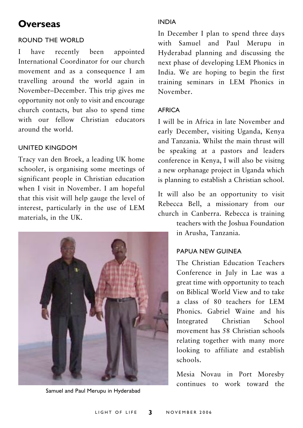## **Overseas**

#### ROUND THE WORLD

I have recently been appointed International Coordinator for our church movement and as a consequence I am travelling around the world again in November–December. This trip gives me opportunity not only to visit and encourage church contacts, but also to spend time with our fellow Christian educators around the world.

#### UNITED KINGDOM

Tracy van den Broek, a leading UK home schooler, is organising some meetings of significant people in Christian education when I visit in November. I am hopeful that this visit will help gauge the level of interest, particularly in the use of LEM materials, in the UK.



Samuel and Paul Merupu in Hyderabad

### INDIA

In December I plan to spend three days with Samuel and Paul Merupu in Hyderabad planning and discussing the next phase of developing LEM Phonics in India. We are hoping to begin the first training seminars in LEM Phonics in November.

#### **AFRICA**

I will be in Africa in late November and early December, visiting Uganda, Kenya and Tanzania. Whilst the main thrust will be speaking at a pastors and leaders conference in Kenya, I will also be visitng a new orphanage project in Uganda which is planning to establish a Christian school.

It will also be an opportunity to visit Rebecca Bell, a missionary from our church in Canberra. Rebecca is training

teachers with the Joshua Foundation in Arusha, Tanzania.

## PAPUA NEW GUINEA

The Christian Education Teachers Conference in July in Lae was a great time with opportunity to teach on Biblical World View and to take a class of 80 teachers for LEM Phonics. Gabriel Waine and his Integrated Christian School movement has 58 Christian schools relating together with many more looking to affiliate and establish schools.

Mesia Novau in Port Moresby continues to work toward the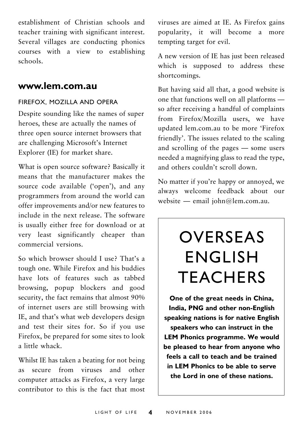establishment of Christian schools and teacher training with significant interest. Several villages are conducting phonics courses with a view to establishing schools.

## **www.lem.com.au**

#### FIREFOX, MOZILLA AND OPERA

Despite sounding like the names of super heroes, these are actually the names of three open source internet browsers that are challenging Microsoft's Internet Explorer (IE) for market share.

What is open source software? Basically it means that the manufacturer makes the source code available ('open'), and any programmers from around the world can offer improvements and/or new features to include in the next release. The software is usually either free for download or at very least significantly cheaper than commercial versions.

So which browser should I use? That's a tough one. While Firefox and his buddies have lots of features such as tabbed browsing, popup blockers and good security, the fact remains that almost 90% of internet users are still browsing with IE, and that's what web developers design and test their sites for. So if you use Firefox, be prepared for some sites to look a little whack.

Whilst IE has taken a beating for not being as secure from viruses and other computer attacks as Firefox, a very large contributor to this is the fact that most viruses are aimed at IE. As Firefox gains popularity, it will become a more tempting target for evil.

A new version of IE has just been released which is supposed to address these shortcomings.

But having said all that, a good website is one that functions well on all platforms  $$ so after receiving a handful of complaints from Firefox/Mozilla users, we have updated lem.com.au to be more 'Firefox friendly'. The issues related to the scaling and scrolling of the pages  $-$  some users needed a magnifying glass to read the type, and others couldn't scroll down.

No matter if you're happy or annoyed, we always welcome feedback about our website – email john@lem.com.au.

## **OVERSEAS** ENGLISH **TEACHERS**

**One of the great needs in China, India, PNG and other non-English speaking nations is for native English speakers who can instruct in the LEM Phonics programme. We would be pleased to hear from anyone who feels a call to teach and be trained in LEM Phonics to be able to serve the Lord in one of these nations.**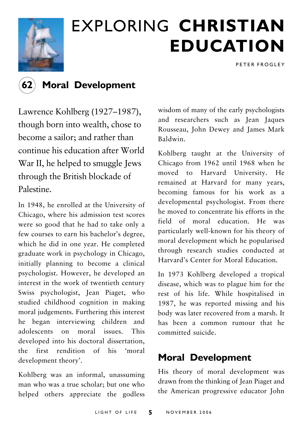

# EXPLORING **CHRISTIAN EDUCATION**

PETER FROGLEY



## **62 Moral Development**

Lawrence Kohlberg (1927–1987), though born into wealth, chose to become a sailor; and rather than continue his education after World War II, he helped to smuggle Jews through the British blockade of Palestine.

In 1948, he enrolled at the University of Chicago, where his admission test scores were so good that he had to take only a few courses to earn his bachelor's degree, which he did in one year. He completed graduate work in psychology in Chicago, initially planning to become a clinical psychologist. However, he developed an interest in the work of twentieth century Swiss psychologist, Jean Piaget, who studied childhood cognition in making moral judgements. Furthering this interest he began interviewing children and adolescents on moral issues. This developed into his doctoral dissertation, the first rendition of his ëmoral development theory'.

Kohlberg was an informal, unassuming man who was a true scholar; but one who helped others appreciate the godless

wisdom of many of the early psychologists and researchers such as Jean Jaques Rousseau, John Dewey and James Mark Baldwin.

Kohlberg taught at the University of Chicago from 1962 until 1968 when he moved to Harvard University. He remained at Harvard for many years, becoming famous for his work as a developmental psychologist. From there he moved to concentrate his efforts in the field of moral education. He was particularly well-known for his theory of moral development which he popularised through research studies conducted at Harvard's Center for Moral Education.

In 1973 Kohlberg developed a tropical disease, which was to plague him for the rest of his life. While hospitalised in 1987, he was reported missing and his body was later recovered from a marsh. It has been a common rumour that he committed suicide.

## **Moral Development**

His theory of moral development was drawn from the thinking of Jean Piaget and the American progressive educator John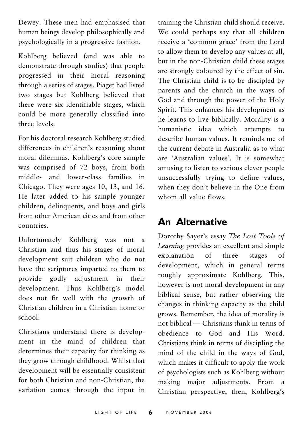Dewey. These men had emphasised that human beings develop philosophically and psychologically in a progressive fashion.

Kohlberg believed (and was able to demonstrate through studies) that people progressed in their moral reasoning through a series of stages. Piaget had listed two stages but Kohlberg believed that there were six identifiable stages, which could be more generally classified into three levels.

For his doctoral research Kohlberg studied differences in children's reasoning about moral dilemmas. Kohlberg's core sample was comprised of 72 boys, from both middle- and lower-class families in Chicago. They were ages 10, 13, and 16. He later added to his sample younger children, delinquents, and boys and girls from other American cities and from other countries.

Unfortunately Kohlberg was not a Christian and thus his stages of moral development suit children who do not have the scriptures imparted to them to provide godly adjustment in their development. Thus Kohlberg's model does not fit well with the growth of Christian children in a Christian home or school.

Christians understand there is development in the mind of children that determines their capacity for thinking as they grow through childhood. Whilst that development will be essentially consistent for both Christian and non-Christian, the variation comes through the input in

training the Christian child should receive. We could perhaps say that all children receive a 'common grace' from the Lord to allow them to develop any values at all, but in the non-Christian child these stages are strongly coloured by the effect of sin. The Christian child is to be discipled by parents and the church in the ways of God and through the power of the Holy Spirit. This enhances his development as he learns to live biblically. Morality is a humanistic idea which attempts to describe human values. It reminds me of the current debate in Australia as to what are 'Australian values'. It is somewhat amusing to listen to various clever people unsuccessfully trying to define values, when they don't believe in the One from whom all value flows.

## **An Alternative**

Dorothy Sayerís essay *The Lost Tools of Learning* provides an excellent and simple explanation of three stages of development, which in general terms roughly approximate Kohlberg. This, however is not moral development in any biblical sense, but rather observing the changes in thinking capacity as the child grows. Remember, the idea of morality is not biblical  $\equiv$  Christians think in terms of obedience to God and His Word. Christians think in terms of discipling the mind of the child in the ways of God, which makes it difficult to apply the work of psychologists such as Kohlberg without making major adjustments. From a Christian perspective, then, Kohlberg's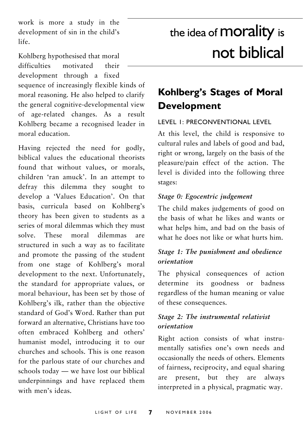work is more a study in the development of sin in the child's life.

Kohlberg hypothesised that moral difficulties motivated their development through a fixed sequence of increasingly flexible kinds of moral reasoning. He also helped to clarify the general cognitive-developmental view of age-related changes. As a result Kohlberg became a recognised leader in moral education.

Having rejected the need for godly, biblical values the educational theorists found that without values, or morals, children 'ran amuck'. In an attempt to defray this dilemma they sought to develop a 'Values Education'. On that basis, curricula based on Kohlberg's theory has been given to students as a series of moral dilemmas which they must solve. These moral dilemmas are structured in such a way as to facilitate and promote the passing of the student from one stage of Kohlberg's moral development to the next. Unfortunately, the standard for appropriate values, or moral behaviour, has been set by those of Kohlberg's ilk, rather than the objective standard of God's Word. Rather than put forward an alternative, Christians have too often embraced Kohlberg and others' humanist model, introducing it to our churches and schools. This is one reason for the parlous state of our churches and schools today  $-$  we have lost our biblical underpinnings and have replaced them with men's ideas.

## the idea of **morality** is not biblical

## **Kohlbergís Stages of Moral Development**

### LEVEL 1: PRECONVENTIONAL LEVEL

At this level, the child is responsive to cultural rules and labels of good and bad, right or wrong, largely on the basis of the pleasure/pain effect of the action. The level is divided into the following three stages:

### *Stage 0: Egocentric judgement*

The child makes judgements of good on the basis of what he likes and wants or what helps him, and bad on the basis of what he does not like or what hurts him.

## *Stage 1: The punishment and obedience orientation*

The physical consequences of action determine its goodness or badness regardless of the human meaning or value of these consequences.

## *Stage 2: The instrumental relativist orientation*

Right action consists of what instrumentally satisfies one's own needs and occasionally the needs of others. Elements of fairness, reciprocity, and equal sharing are present, but they are always interpreted in a physical, pragmatic way.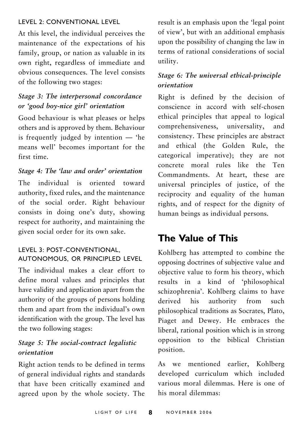#### LEVEL 2: CONVENTIONAL LEVEL

At this level, the individual perceives the maintenance of the expectations of his family, group, or nation as valuable in its own right, regardless of immediate and obvious consequences. The level consists of the following two stages:

## *Stage 3: The interpersonal concordance or ëgood boy-nice girlí orientation*

Good behaviour is what pleases or helps others and is approved by them. Behaviour is frequently judged by intention  $-$  'he means well' becomes important for the first time.

#### *Stage 4: The 'law and order' orientation*

The individual is oriented toward authority, fixed rules, and the maintenance of the social order. Right behaviour consists in doing one's duty, showing respect for authority, and maintaining the given social order for its own sake.

### LEVEL 3: POST-CONVENTIONAL, AUTONOMOUS, OR PRINCIPLED LEVEL

The individual makes a clear effort to define moral values and principles that have validity and application apart from the authority of the groups of persons holding them and apart from the individual's own identification with the group. The level has the two following stages:

## *Stage 5: The social-contract legalistic orientation*

Right action tends to be defined in terms of general individual rights and standards that have been critically examined and agreed upon by the whole society. The

result is an emphasis upon the 'legal point of view', but with an additional emphasis upon the possibility of changing the law in terms of rational considerations of social utility.

## *Stage 6: The universal ethical-principle orientation*

Right is defined by the decision of conscience in accord with self-chosen ethical principles that appeal to logical comprehensiveness, universality, and consistency. These principles are abstract and ethical (the Golden Rule, the categorical imperative); they are not concrete moral rules like the Ten Commandments. At heart, these are universal principles of justice, of the reciprocity and equality of the human rights, and of respect for the dignity of human beings as individual persons.

## **The Value of This**

Kohlberg has attempted to combine the opposing doctrines of subjective value and objective value to form his theory, which results in a kind of ëphilosophical schizophrenia'. Kohlberg claims to have derived his authority from such philosophical traditions as Socrates, Plato, Piaget and Dewey. He embraces the liberal, rational position which is in strong opposition to the biblical Christian position.

As we mentioned earlier, Kohlberg developed curriculum which included various moral dilemmas. Here is one of his moral dilemmas: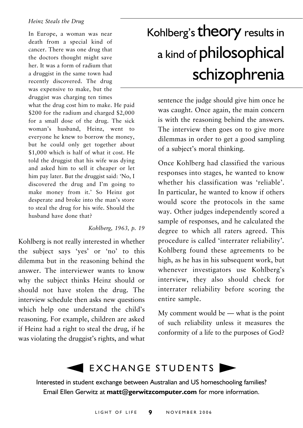In Europe, a woman was near death from a special kind of cancer. There was one drug that the doctors thought might save her. It was a form of radium that a druggist in the same town had recently discovered. The drug was expensive to make, but the druggist was charging ten times

what the drug cost him to make. He paid \$200 for the radium and charged \$2,000 for a small dose of the drug. The sick woman's husband, Heinz, went to everyone he knew to borrow the money, but he could only get together about \$1,000 which is half of what it cost. He told the druggist that his wife was dying and asked him to sell it cheaper or let him pay later. But the druggist said: 'No, I discovered the drug and Iím going to make money from it.' So Heinz got desperate and broke into the man's store to steal the drug for his wife. Should the husband have done that?

#### *Kohlberg, 1963, p. 19*

Kohlberg is not really interested in whether the subject says 'yes' or 'no' to this dilemma but in the reasoning behind the answer. The interviewer wants to know why the subject thinks Heinz should or should not have stolen the drug. The interview schedule then asks new questions which help one understand the child's reasoning. For example, children are asked if Heinz had a right to steal the drug, if he was violating the druggist's rights, and what

# Kohlberg's theory results in a kind of philosophical schizophrenia

sentence the judge should give him once he was caught. Once again, the main concern is with the reasoning behind the answers. The interview then goes on to give more dilemmas in order to get a good sampling of a subject's moral thinking.

Once Kohlberg had classified the various responses into stages, he wanted to know whether his classification was 'reliable'. In particular, he wanted to know if others would score the protocols in the same way. Other judges independently scored a sample of responses, and he calculated the degree to which all raters agreed. This procedure is called ëinterrater reliabilityí*.* Kohlberg found these agreements to be high, as he has in his subsequent work, but whenever investigators use Kohlberg's interview, they also should check for interrater reliability before scoring the entire sample.

My comment would be  $-$  what is the point of such reliability unless it measures the conformity of a life to the purposes of God?



Interested in student exchange between Australian and US homeschooling families? Email Ellen Gerwitz at **matt@gerwitzcomputer.com** for more information.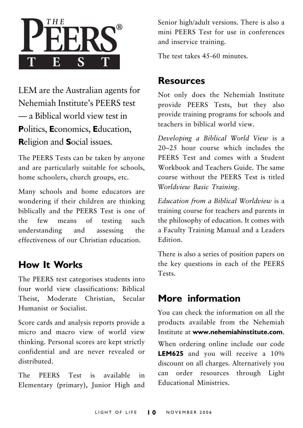

LEM are the Australian agents for Nehemiah Institute's PEERS test  $\equiv$  a Biblical world view test in **P**olitics, **E**conomics, **E**ducation, **R**eligion and **S**ocial issues.

The PEERS Tests can be taken by anyone and are particularly suitable for schools, home schoolers, church groups, etc.

Many schools and home educators are wondering if their children are thinking biblically and the PEERS Test is one of the few means of testing such understanding and assessing the effectiveness of our Christian education.

## **How It Works**

The PEERS test categorises students into four world view classifications: Biblical Theist, Moderate Christian, Secular Humanist or Socialist.

Score cards and analysis reports provide a micro and macro view of world view thinking. Personal scores are kept strictly confidential and are never revealed or distributed.

The PEERS Test is available in Elementary (primary), Junior High and Senior high/adult versions. There is also a mini PEERS Test for use in conferences and inservice training.

The test takes 45-60 minutes.

## **Resources**

Not only does the Nehemiah Institute provide PEERS Tests, but they also provide training programs for schools and teachers in biblical world view.

*Developing a Biblical World View* is a  $20-25$  hour course which includes the PEERS Test and comes with a Student Workbook and Teachers Guide. The same course without the PEERS Test is titled *Worldview Basic Training*.

*Education from a Biblical Worldview* is a training course for teachers and parents in the philosophy of education. It comes with a Faculty Training Manual and a Leaders Edition.

There is also a series of position papers on the key questions in each of the PEERS Tests.

## **More information**

You can check the information on all the products available from the Nehemiah Institute at **www.nehemiahinstitute.com**. When ordering online include our code **LEM625** and you will receive a 10% discount on all charges. Alternatively you can order resources through Light Educational Ministries.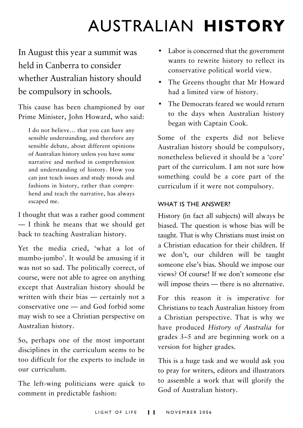## AUSTRALIAN **HISTORY**

In August this year a summit was held in Canberra to consider whether Australian history should be compulsory in schools.

This cause has been championed by our Prime Minister, John Howard, who said:

I do not believe... that you can have any sensible understanding, and therefore any sensible debate, about different opinions of Australian history unless you have some narrative and method in comprehension and understanding of history. How you can just teach issues and study moods and fashions in history, rather than comprehend and teach the narrative, has always escaped me.

I thought that was a rather good comment  $-$  I think he means that we should get back to teaching Australian history.

Yet the media cried, ëwhat a lot of mumbo-jumbo'. It would be amusing if it was not so sad. The politically correct, of course, were not able to agree on anything except that Australian history should be written with their bias  $-$  certainly not a conservative one  $-$  and God forbid some may wish to see a Christian perspective on Australian history.

So, perhaps one of the most important disciplines in the curriculum seems to be too difficult for the experts to include in our curriculum.

The left-wing politicians were quick to comment in predictable fashion:

- Labor is concerned that the government wants to rewrite history to reflect its conservative political world view.
- The Greens thought that Mr Howard had a limited view of history.
- The Democrats feared we would return to the days when Australian history began with Captain Cook.

Some of the experts did not believe Australian history should be compulsory, nonetheless believed it should be a 'core' part of the curriculum. I am not sure how something could be a core part of the curriculum if it were not compulsory.

#### WHAT IS THE ANSWER?

History (in fact all subjects) will always be biased. The question is whose bias will be taught. That is why Christians must insist on a Christian education for their children. If we don't, our children will be taught someone else's bias. Should we impose our views? Of course! If we don't someone else will impose theirs - there is no alternative.

For this reason it is imperative for Christians to teach Australian history from a Christian perspective. That is why we have produced *History of Australia* for grades  $3-5$  and are beginning work on a version for higher grades.

This is a huge task and we would ask you to pray for writers, editors and illustrators to assemble a work that will glorify the God of Australian history.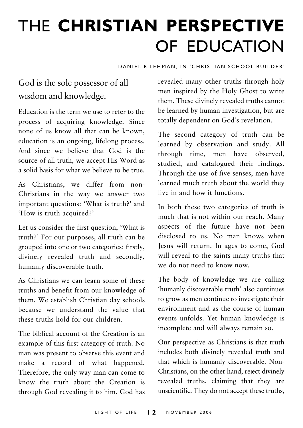# THE **CHRISTIAN PERSPECTIVE** OF EDUCATION

DANIEL R LEHMAN, IN 'CHRISTIAN SCHOOL BUILDER'

## God is the sole possessor of all wisdom and knowledge.

Education is the term we use to refer to the process of acquiring knowledge. Since none of us know all that can be known, education is an ongoing, lifelong process. And since we believe that God is the source of all truth, we accept His Word as a solid basis for what we believe to be true.

As Christians, we differ from non-Christians in the way we answer two important questions: 'What is truth?' and 'How is truth acquired?'

Let us consider the first question, 'What is truth?' For our purposes, all truth can be grouped into one or two categories: firstly, divinely revealed truth and secondly, humanly discoverable truth.

As Christians we can learn some of these truths and benefit from our knowledge of them. We establish Christian day schools because we understand the value that these truths hold for our children.

The biblical account of the Creation is an example of this first category of truth. No man was present to observe this event and make a record of what happened. Therefore, the only way man can come to know the truth about the Creation is through God revealing it to him. God has revealed many other truths through holy men inspired by the Holy Ghost to write them. These divinely revealed truths cannot be learned by human investigation, but are totally dependent on God's revelation.

The second category of truth can be learned by observation and study. All through time, men have observed, studied, and catalogued their findings. Through the use of five senses, men have learned much truth about the world they live in and how it functions.

In both these two categories of truth is much that is not within our reach. Many aspects of the future have not been disclosed to us. No man knows when Jesus will return. In ages to come, God will reveal to the saints many truths that we do not need to know now.

The body of knowledge we are calling 'humanly discoverable truth' also continues to grow as men continue to investigate their environment and as the course of human events unfolds. Yet human knowledge is incomplete and will always remain so.

Our perspective as Christians is that truth includes both divinely revealed truth and that which is humanly discoverable. Non-Christians, on the other hand, reject divinely revealed truths, claiming that they are unscientific. They do not accept these truths,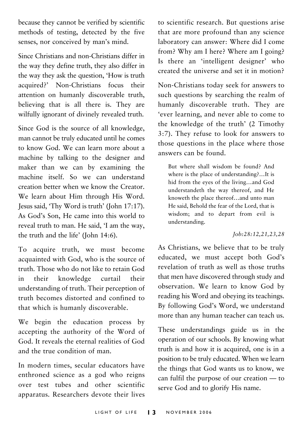because they cannot be verified by scientific methods of testing, detected by the five senses, nor conceived by man's mind.

Since Christians and non-Christians differ in the way they define truth, they also differ in the way they ask the question, 'How is truth acquired?' Non-Christians focus their attention on humanly discoverable truth, believing that is all there is. They are wilfully ignorant of divinely revealed truth.

Since God is the source of all knowledge, man cannot be truly educated until he comes to know God. We can learn more about a machine by talking to the designer and maker than we can by examining the machine itself. So we can understand creation better when we know the Creator. We learn about Him through His Word. Jesus said, 'Thy Word is truth' (John 17:17). As God's Son, He came into this world to reveal truth to man. He said, 'I am the way, the truth and the life' (John 14:6).

To acquire truth, we must become acquainted with God, who is the source of truth. Those who do not like to retain God in their knowledge curtail their understanding of truth. Their perception of truth becomes distorted and confined to that which is humanly discoverable.

We begin the education process by accepting the authority of the Word of God. It reveals the eternal realities of God and the true condition of man.

In modern times, secular educators have enthroned science as a god who reigns over test tubes and other scientific apparatus. Researchers devote their lives to scientific research. But questions arise that are more profound than any science laboratory can answer: Where did I come from? Why am I here? Where am I going? Is there an 'intelligent designer' who created the universe and set it in motion?

Non-Christians today seek for answers to such questions by searching the realm of humanly discoverable truth. They are ëever learning, and never able to come to the knowledge of the truth'  $(2$  Timothy 3:7). They refuse to look for answers to those questions in the place where those answers can be found.

But where shall wisdom be found? And where is the place of understanding?...It is hid from the eyes of the living...and God understandeth the way thereof, and He knoweth the place thereof...and unto man He said, Behold the fear of the Lord, that is wisdom; and to depart from evil is understanding.

#### *Job:28:12,21,23,28*

As Christians, we believe that to be truly educated, we must accept both God's revelation of truth as well as those truths that men have discovered through study and observation. We learn to know God by reading his Word and obeying its teachings. By following God's Word, we understand more than any human teacher can teach us.

These understandings guide us in the operation of our schools. By knowing what truth is and how it is acquired, one is in a position to be truly educated. When we learn the things that God wants us to know, we can fulfil the purpose of our creation  $-$  to serve God and to glorify His name.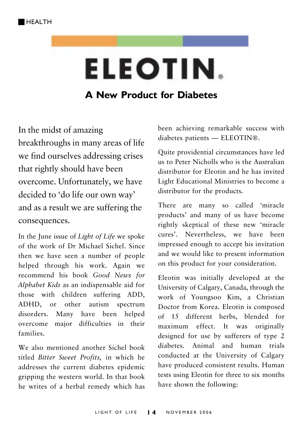

In the midst of amazing breakthroughs in many areas of life we find ourselves addressing crises that rightly should have been overcome. Unfortunately, we have decided to 'do life our own way' and as a result we are suffering the consequences.

In the June issue of *Light of Life* we spoke of the work of Dr Michael Sichel. Since then we have seen a number of people helped through his work. Again we recommend his book *Good News for Alphabet Kids* as an indispensable aid for those with children suffering ADD, ADHD, or other autism spectrum disorders. Many have been helped overcome major difficulties in their families.

We also mentioned another Sichel book titled *Bitter Sweet Profits,* in which he addresses the current diabetes epidemic gripping the western world. In that book he writes of a herbal remedy which has

been achieving remarkable success with diabetes patients - ELEOTIN®.

Quite providential circumstances have led us to Peter Nicholls who is the Australian distributor for Eleotin and he has invited Light Educational Ministries to become a distributor for the products.

There are many so called 'miracle products' and many of us have become rightly skeptical of these new ëmiracle cures'. Nevertheless, we have been impressed enough to accept his invitation and we would like to present information on this product for your consideration.

Eleotin was initially developed at the University of Calgary, Canada, through the work of Youngsoo Kim, a Christian Doctor from Korea. Eleotin is composed of 15 different herbs, blended for maximum effect. It was originally designed for use by sufferers of type 2 diabetes. Animal and human trials conducted at the University of Calgary have produced consistent results. Human tests using Eleotin for three to six months have shown the following: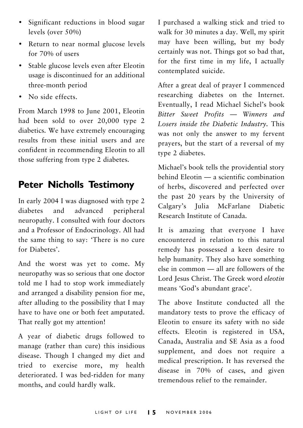- Significant reductions in blood sugar levels (over 50%)
- Return to near normal glucose levels for 70% of users
- Stable glucose levels even after Eleotin usage is discontinued for an additional three-month period
- No side effects.

From March 1998 to June 2001, Eleotin had been sold to over 20,000 type 2 diabetics. We have extremely encouraging results from these initial users and are confident in recommending Eleotin to all those suffering from type 2 diabetes.

## **Peter Nicholls Testimony**

In early 2004 I was diagnosed with type 2 diabetes and advanced peripheral neuropathy. I consulted with four doctors and a Professor of Endocrinology. All had the same thing to say: 'There is no cure for Diabetes'

And the worst was yet to come. My neuropathy was so serious that one doctor told me I had to stop work immediately and arranged a disability pension fior me, after alluding to the possibility that I may have to have one or both feet amputated. That really got my attention!

A year of diabetic drugs followed to manage (rather than cure) this insidious disease. Though I changed my diet and tried to exercise more, my health deteriorated. I was bed-ridden for many months, and could hardly walk.

I purchased a walking stick and tried to walk for 30 minutes a day. Well, my spirit may have been willing, but my body certainly was not. Things got so bad that, for the first time in my life, I actually contemplated suicide.

After a great deal of prayer I commenced researching diabetes on the Internet. Eventually, I read Michael Sichel's book *Bitter Sweet Profits*  $\rightarrow$  *Winners and Losers inside the Diabetic Industry.* This was not only the answer to my fervent prayers, but the start of a reversal of my type 2 diabetes.

Michael's book tells the providential story behind Eleotin — a scientific combination of herbs, discovered and perfected over the past 20 years by the University of Calgaryís Julia McFarlane Diabetic Research Institute of Canada.

It is amazing that everyone I have encountered in relation to this natural remedy has possessed a keen desire to help humanity. They also have something else in common – all are followers of the Lord Jesus Christ. The Greek word *eleotin* means 'God's abundant grace'.

The above Institute conducted all the mandatory tests to prove the efficacy of Eleotin to ensure its safety with no side effects. Eleotin is registered in USA, Canada, Australia and SE Asia as a food supplement, and does not require a medical prescription. It has reversed the disease in 70% of cases, and given tremendous relief to the remainder.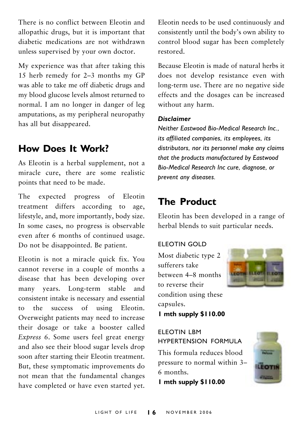There is no conflict between Eleotin and allopathic drugs, but it is important that diabetic medications are not withdrawn unless supervised by your own doctor.

My experience was that after taking this 15 herb remedy for  $2-3$  months my GP was able to take me off diabetic drugs and my blood glucose levels almost returned to normal. I am no longer in danger of leg amputations, as my peripheral neuropathy has all but disappeared.

## **How Does It Work?**

As Eleotin is a herbal supplement, not a miracle cure, there are some realistic points that need to be made.

The expected progress of Eleotin treatment differs according to age, lifestyle, and, more importantly, body size. In some cases, no progress is observable even after 6 months of continued usage. Do not be disappointed. Be patient.

Eleotin is not a miracle quick fix. You cannot reverse in a couple of months a disease that has been developing over many years. Long-term stable and consistent intake is necessary and essential to the success of using Eleotin. Overweight patients may need to increase their dosage or take a booster called *Express 6*. Some users feel great energy and also see their blood sugar levels drop soon after starting their Eleotin treatment. But, these symptomatic improvements do not mean that the fundamental changes have completed or have even started yet. Eleotin needs to be used continuously and consistently until the body's own ability to control blood sugar has been completely restored.

Because Eleotin is made of natural herbs it does not develop resistance even with long-term use. There are no negative side effects and the dosages can be increased without any harm.

#### *Disclaimer*

*Neither Eastwood Bio-Medical Research Inc., its affiliated companies, its employees, its distributors, nor its personnel make any claims that the products manufactured by Eastwood Bio-Medical Research Inc cure, diagnose, or prevent any diseases.*

## **The Product**

Eleotin has been developed in a range of herbal blends to suit particular needs.

### ELEOTIN GOLD

Most diabetic type 2 sufferers take between 4-8 months to reverse their condition using these capsules.



**1 mth supply \$110.00**

## ELEOTIN LBM HYPERTENSION FORMULA

This formula reduces blood pressure to normal within 3-6 months.

**1 mth supply \$110.00**

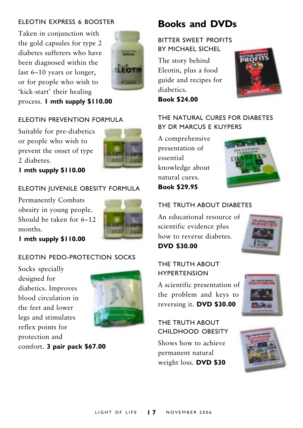#### ELEOTIN EXPRESS 6 BOOSTER

Taken in conjunction with the gold capsules for type 2 diabetes sufferers who have been diagnosed within the last  $6-10$  years or longer, or for people who wish to 'kick-start' their healing process. **1 mth supply \$110.00**



#### ELEOTIN PREVENTION FORMULA

Suitable for pre-diabetics or people who wish to prevent the onset of type 2 diabetes.



**1 mth supply \$110.00**

#### ELEOTIN JUVENILE OBESITY FORMULA

Permanently Combats obesity in young people. Should be taken for  $6-12$ months.



**1 mth supply \$110.00**

#### ELEOTIN PEDO-PROTECTION SOCKS

Socks specially designed for diabetics. Improves blood circulation in the feet and lower legs and stimulates reflex points for protection and comfort. **3 pair pack \$67.00**



## **Books and DVDs**

BITTER SWEET PROFITS BY MICHAEL SICHEL

The story behind Eleotin, plus a food guide and recipes for diabetics.

**Book \$24.00**



#### THE NATURAL CURES FOR DIABETES BY DR MARCUS E KUYPERS

A comprehensive presentation of essential knowledge about natural cures. **Book \$29.95**



#### THE TRUTH ABOUT DIABETES

An educational resource of scientific evidence plus how to reverse diabetes. **DVD \$30.00**



THE TRUTH ABOUT **HYPERTENSION** 

A scientific presentation of the problem and keys to reversing it. **DVD \$30.00**



THE TRUTH ABOUT CHILDHOOD OBESITY Shows how to achieve permanent natural weight loss. **DVD \$30**

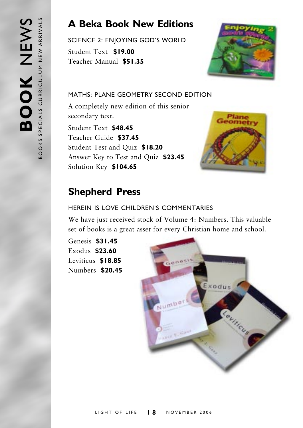## **A Beka Book New Editions**

SCIENCE 2: ENJOYING GOD'S WORLD Student Text **\$19.00** Teacher Manual **\$51.35**



### MATHS: PLANE GEOMETRY SECOND EDITION

A completely new edition of this senior secondary text.

Student Text **\$48.45** Teacher Guide **\$37.45** Student Test and Quiz **\$18.20** Answer Key to Test and Quiz **\$23.45** Solution Key **\$104.65**



## **Shepherd Press**

### HEREIN IS LOVE CHILDREN'S COMMENTARIES

We have just received stock of Volume 4: Numbers. This valuable set of books is a great asset for every Christian home and school.

Genesis **\$31.45** Exodus **\$23.60** Leviticus **\$18.85** Numbers **\$20.45**

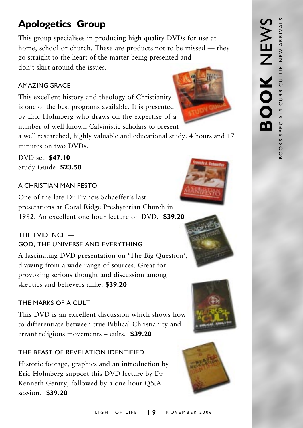## **Apologetics Group**

This group specialises in producing high quality DVDs for use at home, school or church. These are products not to be missed  $-$  they go straight to the heart of the matter being presented and don't skirt around the issues.

### AMAZING GRACE

This excellent history and theology of Christianity is one of the best programs available. It is presented by Eric Holmberg who draws on the expertise of a number of well known Calvinistic scholars to present

a well researched, highly valuable and educational study. 4 hours and 17 minutes on two DVDs.

DVD set **\$47.10** Study Guide **\$23.50**

## A CHRISTIAN MANIFESTO

One of the late Dr Francis Schaeffer's last presetations at Coral Ridge Presbyterian Church in 1982. An excellent one hour lecture on DVD. **\$39.20**

## THE EVIDENCE  $-$ GOD, THE UNIVERSE AND EVERYTHING

A fascinating DVD presentation on 'The Big Question', drawing from a wide range of sources. Great for provoking serious thought and discussion among skeptics and believers alike. **\$39.20**

## THE MARKS OF A CULT

This DVD is an excellent discussion which shows how to differentiate between true Biblical Christianity and errant religious movements – cults. **\$39.20** 

## THE BEAST OF REVELATION IDENTIFIED

Historic footage, graphics and an introduction by Eric Holmberg support this DVD lecture by Dr Kenneth Gentry, followed by a one hour Q&A session. **\$39.20**







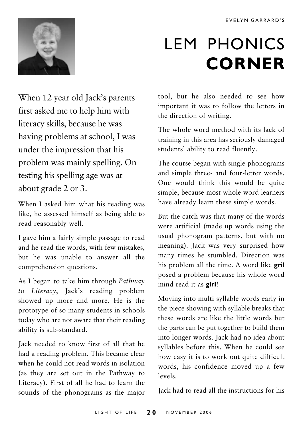

# LEM PHONICS **CORNER**

When 12 year old Jack's parents first asked me to help him with literacy skills, because he was having problems at school, I was under the impression that his problem was mainly spelling. On testing his spelling age was at about grade 2 or 3.

When I asked him what his reading was like, he assessed himself as being able to read reasonably well.

I gave him a fairly simple passage to read and he read the words, with few mistakes, but he was unable to answer all the comprehension questions.

As I began to take him through *Pathway to Literacy*, Jack's reading problem showed up more and more. He is the prototype of so many students in schools today who are not aware that their reading ability is sub-standard.

Jack needed to know first of all that he had a reading problem. This became clear when he could not read words in isolation (as they are set out in the Pathway to Literacy). First of all he had to learn the sounds of the phonograms as the major tool, but he also needed to see how important it was to follow the letters in the direction of writing.

The whole word method with its lack of training in this area has seriously damaged students' ability to read fluently.

The course began with single phonograms and simple three- and four-letter words. One would think this would be quite simple, because most whole word learners have already learn these simple words.

But the catch was that many of the words were artificial (made up words using the usual phonogram patterns, but with no meaning). Jack was very surprised how many times he stumbled. Direction was his problem all the time. A word like **gril** posed a problem because his whole word mind read it as **girl**!

Moving into multi-syllable words early in the piece showing with syllable breaks that these words are like the little words but the parts can be put together to build them into longer words. Jack had no idea about syllables before this. When he could see how easy it is to work out quite difficult words, his confidence moved up a few levels.

Jack had to read all the instructions for his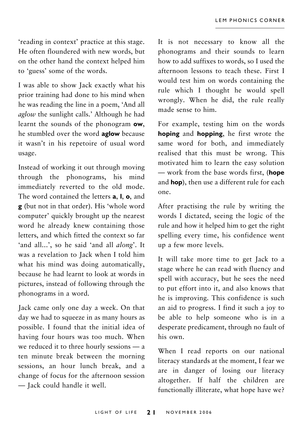'reading in context' practice at this stage. He often floundered with new words, but on the other hand the context helped him to 'guess' some of the words.

I was able to show Jack exactly what his prior training had done to his mind when he was reading the line in a poem, 'And all *aglow* the sunlight calls.' Although he had learnt the sounds of the phonogram **ow**, he stumbled over the word **aglow** because it wasn't in his repetoire of usual word usage.

Instead of working it out through moving through the phonograms, his mind immediately reverted to the old mode. The word contained the letters **a**, **l**, **o**, and **g** (but not in that order). His ëwhole word computer' quickly brought up the nearest word he already knew containing those letters, and which fitted the context so far 'and all...', so he said 'and all *along*'. It was a revelation to Jack when I told him what his mind was doing automatically, because he had learnt to look at words in pictures, instead of following through the phonograms in a word.

Jack came only one day a week. On that day we had to squeeze in as many hours as possible. I found that the initial idea of having four hours was too much. When we reduced it to three hourly sessions  $-$  a ten minute break between the morning sessions, an hour lunch break, and a change of focus for the afternoon session - Jack could handle it well.

It is not necessary to know all the phonograms and their sounds to learn how to add suffixes to words, so I used the afternoon lessons to teach these. First I would test him on words containing the rule which I thought he would spell wrongly. When he did, the rule really made sense to him.

For example, testing him on the words **hoping** and **hopping**, he first wrote the same word for both, and immediately realised that this must be wrong. This motivated him to learn the easy solution  $-$  work from the base words first, (**hope** and **hop**), then use a different rule for each one.

After practising the rule by writing the words I dictated, seeing the logic of the rule and how it helped him to get the right spelling every time, his confidence went up a few more levels.

It will take more time to get Jack to a stage where he can read with fluency and spell with accuracy, but he sees the need to put effort into it, and also knows that he is improving. This confidence is such an aid to progress. I find it such a joy to be able to help someone who is in a desperate predicament, through no fault of his own.

When I read reports on our national literacy standards at the moment, I fear we are in danger of losing our literacy altogether. If half the children are functionally illiterate, what hope have we?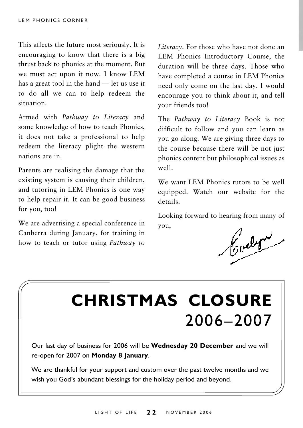This affects the future most seriously. It is encouraging to know that there is a big thrust back to phonics at the moment. But we must act upon it now. I know LEM has a great tool in the hand  $-$  let us use it to do all we can to help redeem the situation.

Armed with *Pathway to Literacy* and some knowledge of how to teach Phonics, it does not take a professional to help redeem the literacy plight the western nations are in.

Parents are realising the damage that the existing system is causing their children, and tutoring in LEM Phonics is one way to help repair it. It can be good business for you, too!

We are advertising a special conference in Canberra during January, for training in how to teach or tutor using *Pathway to*

*Literacy*. For those who have not done an LEM Phonics Introductory Course, the duration will be three days. Those who have completed a course in LEM Phonics need only come on the last day. I would encourage you to think about it, and tell your friends too!

The *Pathway to Literacy* Book is not difficult to follow and you can learn as you go along. We are giving three days to the course because there will be not just phonics content but philosophical issues as well.

We want LEM Phonics tutors to be well equipped. Watch our website for the details.

Looking forward to hearing from many of you,

Coulder

## **CHRISTMAS CLOSURE** 2006<sup>-2007</sup>

Our last day of business for 2006 will be **Wednesday 20 December** and we will re-open for 2007 on **Monday 8 January**.

We are thankful for your support and custom over the past twelve months and we wish you God's abundant blessings for the holiday period and beyond.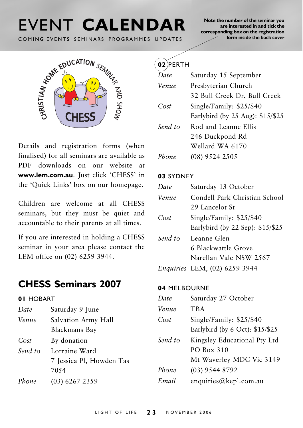#### **Note the number of the seminar you are interested in and tick the corresponding box on the registration form inside the back cover**

COMING EVENTS SEMINARS PROGRAMMES UPDATES



Details and registration forms (when finalised) for all seminars are available as PDF downloads on our website at www.lem.com.au. Just click 'CHESS' in the 'Quick Links' box on our homepage.

Children are welcome at all CHESS seminars, but they must be quiet and accountable to their parents at all times.

If you are interested in holding a CHESS seminar in your area please contact the LEM office on (02) 6259 3944.

## **CHESS Seminars 2007**

### **01** HOBART

| Date    | Saturday 9 June          |
|---------|--------------------------|
| Venue   | Salvation Army Hall      |
|         | Blackmans Bay            |
| Cost    | By donation              |
| Send to | Lorraine Ward            |
|         | 7 Jessica Pl, Howden Tas |
|         | 7054                     |
| Phone   | $(03)$ 6267 2359         |

## **02** PERTH

| Date    | Saturday 15 September            |
|---------|----------------------------------|
| Venue   | Presbyterian Church              |
|         | 32 Bull Creek Dr, Bull Creek     |
| Cost    | Single/Family: \$25/\$40         |
|         | Earlybird (by 25 Aug): \$15/\$25 |
| Send to | Rod and Leanne Ellis             |
|         | 246 Duckpond Rd                  |
|         | Wellard WA 6170                  |
| Phone   | (08) 9524 2505                   |
|         |                                  |

## **03** SYDNEY

| Date    | Saturday 13 October              |
|---------|----------------------------------|
| Venue   | Condell Park Christian School    |
|         | 29 Lancelot St                   |
| Cost    | Single/Family: $$25/$40$         |
|         | Earlybird (by 22 Sep): \$15/\$25 |
| Send to | Leanne Glen                      |
|         | 6 Blackwattle Grove              |
|         | Narellan Vale NSW 2567           |
|         | Enquiries LEM, (02) 6259 3944    |

**04** MELBOURNE

| Date    | Saturday 27 October             |
|---------|---------------------------------|
| Venue   | <b>TBA</b>                      |
| Cost    | Single/Family: \$25/\$40        |
|         | Earlybird (by 6 Oct): \$15/\$25 |
| Send to | Kingsley Educational Pty Ltd    |
|         | PO Box 310                      |
|         | Mt Waverley MDC Vic 3149        |
| Phone   | $(03)$ 9544 8792                |
| Email   | enquiries@kepl.com.au           |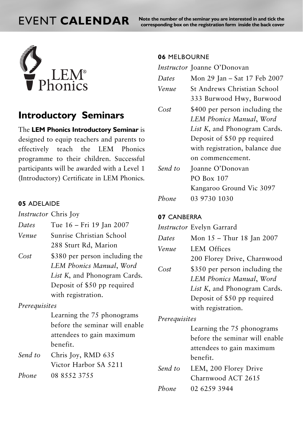**NORT CALENDAR** Note the number of the seminar you are interested in and tick the corresponding box on the registration form inside the back cover



## **Introductory Seminars**

The **LEM Phonics Introductory Seminar** is designed to equip teachers and parents to effectively teach the LEM Phonics programme to their children. Successful participants will be awarded with a Level 1 (Introductory) Certificate in LEM Phonics.

#### **05** ADELAIDE

*Instructor* Chris Joy

| Dates | Tue 16 – Fri 19 Jan 2007 |
|-------|--------------------------|
|-------|--------------------------|

- *Venue* Sunrise Christian School 288 Sturt Rd, Marion
- *Cost* \$380 per person including the *LEM Phonics Manual*, *Word List K*, and Phonogram Cards. Deposit of \$50 pp required with registration.

*Prerequisites*

Learning the 75 phonograms before the seminar will enable attendees to gain maximum benefit.

|       | Send to Chris Joy, RMD 635 |  |  |
|-------|----------------------------|--|--|
|       | Victor Harbor SA 5211      |  |  |
| Phone | 08 8552 3755               |  |  |

#### **06** MELBOURNE

|         | Instructor Joanne O'Donovan          |
|---------|--------------------------------------|
| Dates   | Mon 29 Jan – Sat 17 Feb 2007         |
| Venue   | St Andrews Christian School          |
|         | 333 Burwood Hwy, Burwood             |
| Cost    | \$400 per person including the       |
|         | LEM Phonics Manual, Word             |
|         | <i>List K</i> , and Phonogram Cards. |
|         | Deposit of \$50 pp required          |
|         | with registration, balance due       |
|         | on commencement.                     |
| Send to | Joanne O'Donovan                     |
|         | PO Box 107                           |
|         | Kangaroo Ground Vic 3097             |
| Phone   | 03 9730 1030                         |

#### **07** CANBERRA

|               | Instructor Evelyn Garrard      |
|---------------|--------------------------------|
| Dates         | Mon 15 - Thur 18 Jan 2007      |
| Venue         | <b>LEM Offices</b>             |
|               | 200 Florey Drive, Charnwood    |
| Cost          | \$350 per person including the |
|               | LEM Phonics Manual, Word       |
|               | List K, and Phonogram Cards.   |
|               | Deposit of \$50 pp required    |
|               | with registration.             |
| Prerequisites |                                |
|               | Learning the 75 phonograms     |
|               | before the seminar will enable |
|               | attendees to gain maximum      |
|               | benefit.                       |
| Send to       | LEM, 200 Florey Drive          |
|               | Charnwood ACT 2615             |

*Phone* 02 6259 3944